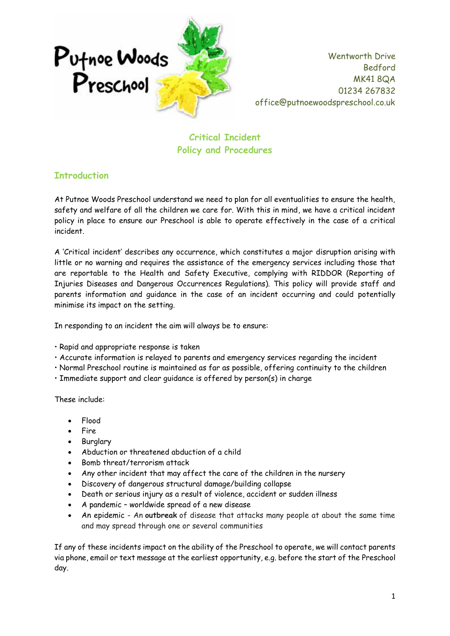

**Critical Incident Policy and Procedures**

### **Introduction**

At Putnoe Woods Preschool understand we need to plan for all eventualities to ensure the health, safety and welfare of all the children we care for. With this in mind, we have a critical incident policy in place to ensure our Preschool is able to operate effectively in the case of a critical incident.

A 'Critical incident' describes any occurrence, which constitutes a major disruption arising with little or no warning and requires the assistance of the emergency services including those that are reportable to the Health and Safety Executive, complying with RIDDOR (Reporting of Injuries Diseases and Dangerous Occurrences Regulations). This policy will provide staff and parents information and guidance in the case of an incident occurring and could potentially minimise its impact on the setting.

In responding to an incident the aim will always be to ensure:

- Rapid and appropriate response is taken
- Accurate information is relayed to parents and emergency services regarding the incident
- Normal Preschool routine is maintained as far as possible, offering continuity to the children
- Immediate support and clear guidance is offered by person(s) in charge

These include:

- Flood
- Fire
- **Burglary**
- Abduction or threatened abduction of a child
- Bomb threat/terrorism attack
- Any other incident that may affect the care of the children in the nursery
- Discovery of dangerous structural damage/building collapse
- Death or serious injury as a result of violence, accident or sudden illness
- A pandemic worldwide spread of a new disease
- An epidemic An **outbreak** of disease that attacks many people at about the same time and may spread through one or several communities

If any of these incidents impact on the ability of the Preschool to operate, we will contact parents via phone, email or text message at the earliest opportunity, e.g. before the start of the Preschool day.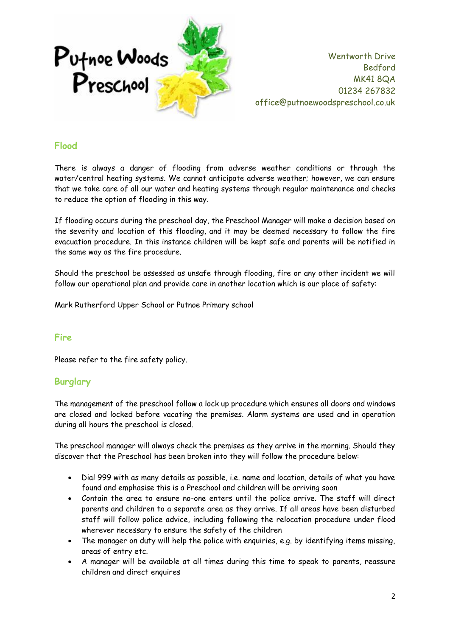

### **Flood**

There is always a danger of flooding from adverse weather conditions or through the water/central heating systems. We cannot anticipate adverse weather; however, we can ensure that we take care of all our water and heating systems through regular maintenance and checks to reduce the option of flooding in this way.

If flooding occurs during the preschool day, the Preschool Manager will make a decision based on the severity and location of this flooding, and it may be deemed necessary to follow the fire evacuation procedure. In this instance children will be kept safe and parents will be notified in the same way as the fire procedure.

Should the preschool be assessed as unsafe through flooding, fire or any other incident we will follow our operational plan and provide care in another location which is our place of safety:

Mark Rutherford Upper School or Putnoe Primary school

### **Fire**

Please refer to the fire safety policy.

### **Burglary**

The management of the preschool follow a lock up procedure which ensures all doors and windows are closed and locked before vacating the premises. Alarm systems are used and in operation during all hours the preschool is closed.

The preschool manager will always check the premises as they arrive in the morning. Should they discover that the Preschool has been broken into they will follow the procedure below:

- Dial 999 with as many details as possible, i.e. name and location, details of what you have found and emphasise this is a Preschool and children will be arriving soon
- Contain the area to ensure no-one enters until the police arrive. The staff will direct parents and children to a separate area as they arrive. If all areas have been disturbed staff will follow police advice, including following the relocation procedure under flood wherever necessary to ensure the safety of the children
- The manager on duty will help the police with enquiries, e.g. by identifying items missing, areas of entry etc.
- A manager will be available at all times during this time to speak to parents, reassure children and direct enquires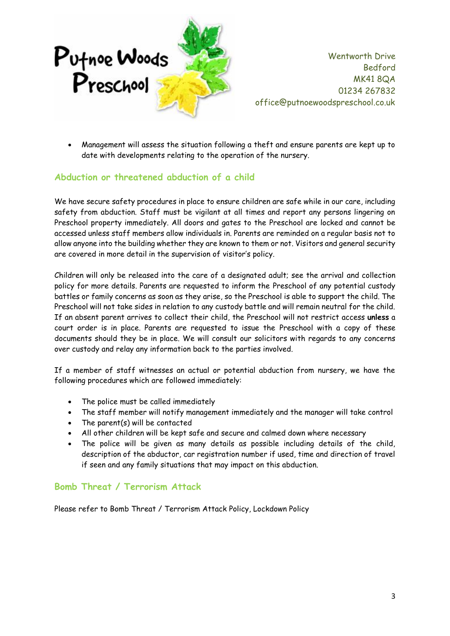

• Management will assess the situation following a theft and ensure parents are kept up to date with developments relating to the operation of the nursery.

### **Abduction or threatened abduction of a child**

We have secure safety procedures in place to ensure children are safe while in our care, including safety from abduction. Staff must be vigilant at all times and report any persons lingering on Preschool property immediately. All doors and gates to the Preschool are locked and cannot be accessed unless staff members allow individuals in. Parents are reminded on a regular basis not to allow anyone into the building whether they are known to them or not. Visitors and general security are covered in more detail in the supervision of visitor's policy.

Children will only be released into the care of a designated adult; see the arrival and collection policy for more details. Parents are requested to inform the Preschool of any potential custody battles or family concerns as soon as they arise, so the Preschool is able to support the child. The Preschool will not take sides in relation to any custody battle and will remain neutral for the child. If an absent parent arrives to collect their child, the Preschool will not restrict access **unless** a court order is in place. Parents are requested to issue the Preschool with a copy of these documents should they be in place. We will consult our solicitors with regards to any concerns over custody and relay any information back to the parties involved.

If a member of staff witnesses an actual or potential abduction from nursery, we have the following procedures which are followed immediately:

- The police must be called immediately
- The staff member will notify management immediately and the manager will take control
- The parent(s) will be contacted
- All other children will be kept safe and secure and calmed down where necessary
- The police will be given as many details as possible including details of the child, description of the abductor, car registration number if used, time and direction of travel if seen and any family situations that may impact on this abduction.

### **Bomb Threat / Terrorism Attack**

Please refer to Bomb Threat / Terrorism Attack Policy, Lockdown Policy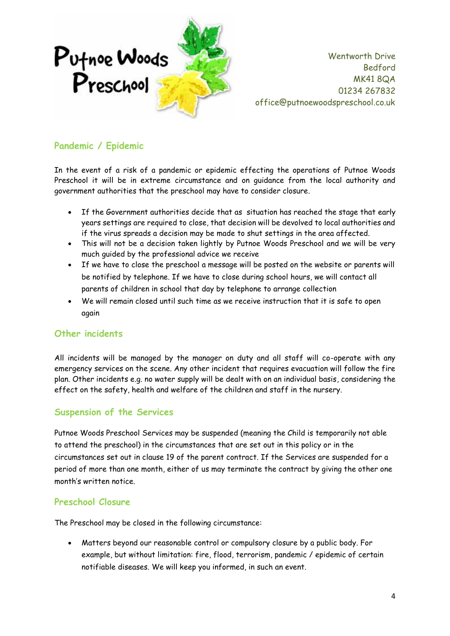

## **Pandemic / Epidemic**

In the event of a risk of a pandemic or epidemic effecting the operations of Putnoe Woods Preschool it will be in extreme circumstance and on guidance from the local authority and government authorities that the preschool may have to consider closure.

- If the Government authorities decide that as situation has reached the stage that early years settings are required to close, that decision will be devolved to local authorities and if the virus spreads a decision may be made to shut settings in the area affected.
- This will not be a decision taken lightly by Putnoe Woods Preschool and we will be very much guided by the professional advice we receive
- If we have to close the preschool a message will be posted on the website or parents will be notified by telephone. If we have to close during school hours, we will contact all parents of children in school that day by telephone to arrange collection
- We will remain closed until such time as we receive instruction that it is safe to open again

### **Other incidents**

All incidents will be managed by the manager on duty and all staff will co-operate with any emergency services on the scene. Any other incident that requires evacuation will follow the fire plan. Other incidents e.g. no water supply will be dealt with on an individual basis, considering the effect on the safety, health and welfare of the children and staff in the nursery.

### **Suspension of the Services**

Putnoe Woods Preschool Services may be suspended (meaning the Child is temporarily not able to attend the preschool) in the circumstances that are set out in this policy or in the circumstances set out in clause 19 of the parent contract. If the Services are suspended for a period of more than one month, either of us may terminate the contract by giving the other one month's written notice.

### **Preschool Closure**

The Preschool may be closed in the following circumstance:

• Matters beyond our reasonable control or compulsory closure by a public body. For example, but without limitation: fire, flood, terrorism, pandemic / epidemic of certain notifiable diseases. We will keep you informed, in such an event.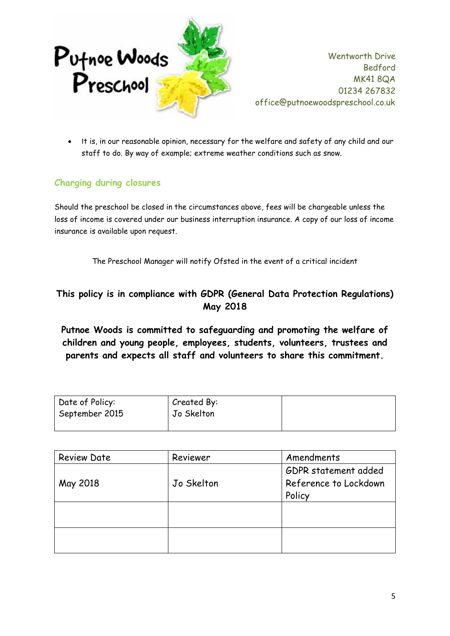

• It is, in our reasonable opinion, necessary for the welfare and safety of any child and our staff to do. By way of example; extreme weather conditions such as snow.

# **Charging during closures**

Should the preschool be closed in the circumstances above, fees will be chargeable unless the loss of income is covered under our business interruption insurance. A copy of our loss of income insurance is available upon request.

The Preschool Manager will notify Ofsted in the event of a critical incident

# **This policy is in compliance with GDPR (General Data Protection Regulations) May 2018**

**Putnoe Woods is committed to safeguarding and promoting the welfare of children and young people, employees, students, volunteers, trustees and parents and expects all staff and volunteers to share this commitment.**

| Date of Policy: | Created By: |  |
|-----------------|-------------|--|
| September 2015  | Jo Skelton  |  |
|                 |             |  |

| <b>Review Date</b> | Reviewer   | Amendments            |  |
|--------------------|------------|-----------------------|--|
|                    |            | GDPR statement added  |  |
| May 2018           | Jo Skelton | Reference to Lockdown |  |
|                    |            | Policy                |  |
|                    |            |                       |  |
|                    |            |                       |  |
|                    |            |                       |  |
|                    |            |                       |  |